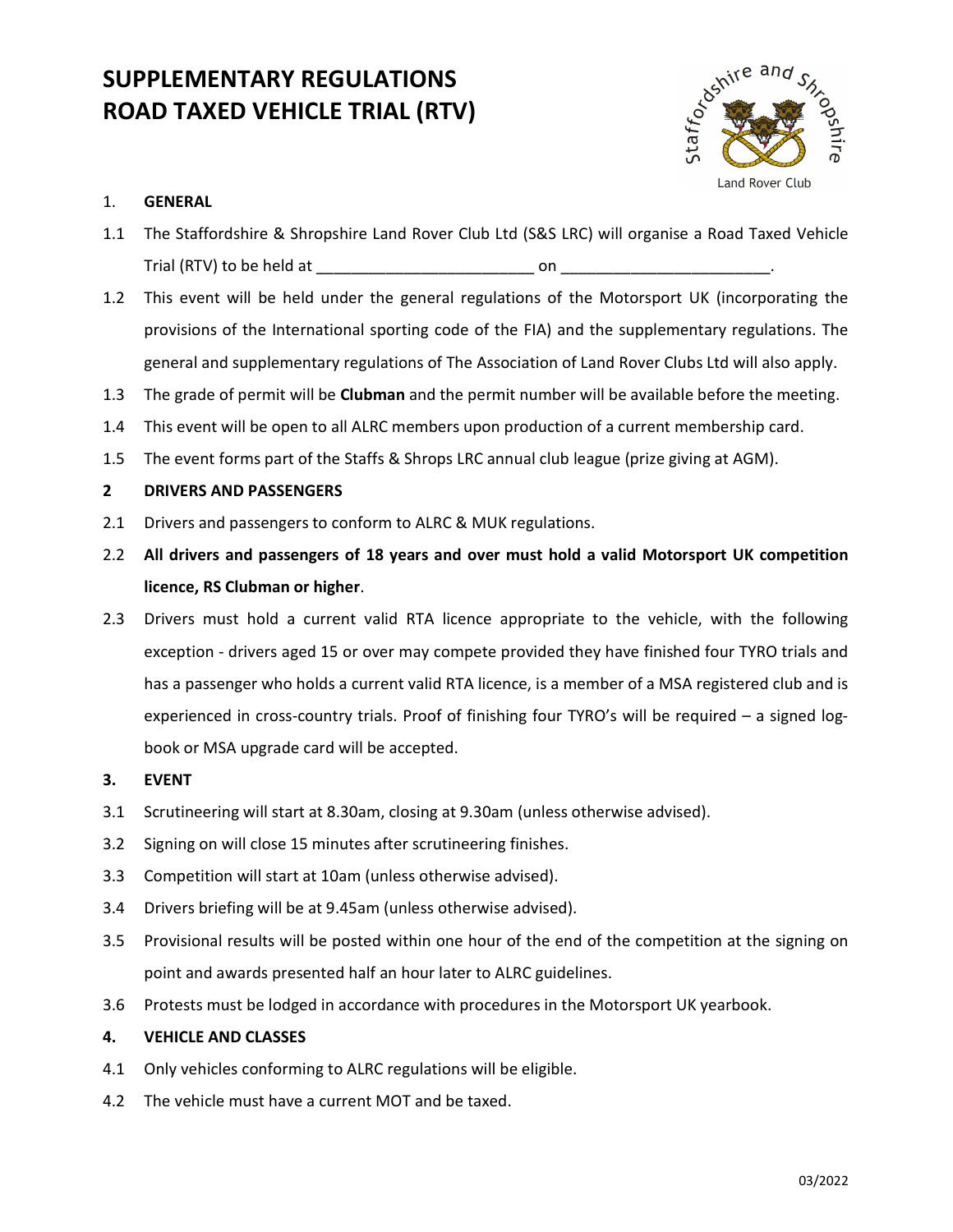# SUPPLEMENTARY REGULATIONS ROAD TAXED VEHICLE TRIAL (RTV)



## 1. GENERAL

- 1.1 The Staffordshire & Shropshire Land Rover Club Ltd (S&S LRC) will organise a Road Taxed Vehicle Trial (RTV) to be held at \_\_\_\_\_\_\_\_\_\_\_\_\_\_\_\_\_\_\_\_\_\_\_\_\_ on \_\_\_\_\_\_\_\_\_\_\_\_\_\_\_\_\_\_\_\_\_\_\_\_.
- 1.2 This event will be held under the general regulations of the Motorsport UK (incorporating the provisions of the International sporting code of the FIA) and the supplementary regulations. The general and supplementary regulations of The Association of Land Rover Clubs Ltd will also apply.
- 1.3 The grade of permit will be **Clubman** and the permit number will be available before the meeting.
- 1.4 This event will be open to all ALRC members upon production of a current membership card.
- 1.5 The event forms part of the Staffs & Shrops LRC annual club league (prize giving at AGM).

## 2 DRIVERS AND PASSENGERS

- 2.1 Drivers and passengers to conform to ALRC & MUK regulations.
- 2.2 All drivers and passengers of 18 years and over must hold a valid Motorsport UK competition licence, RS Clubman or higher.
- 2.3 Drivers must hold a current valid RTA licence appropriate to the vehicle, with the following exception - drivers aged 15 or over may compete provided they have finished four TYRO trials and has a passenger who holds a current valid RTA licence, is a member of a MSA registered club and is experienced in cross-country trials. Proof of finishing four TYRO's will be required – a signed logbook or MSA upgrade card will be accepted.
- 3. EVENT
- 3.1 Scrutineering will start at 8.30am, closing at 9.30am (unless otherwise advised).
- 3.2 Signing on will close 15 minutes after scrutineering finishes.
- 3.3 Competition will start at 10am (unless otherwise advised).
- 3.4 Drivers briefing will be at 9.45am (unless otherwise advised).
- 3.5 Provisional results will be posted within one hour of the end of the competition at the signing on point and awards presented half an hour later to ALRC guidelines.
- 3.6 Protests must be lodged in accordance with procedures in the Motorsport UK yearbook.

## 4. VEHICLE AND CLASSES

- 4.1 Only vehicles conforming to ALRC regulations will be eligible.
- 4.2 The vehicle must have a current MOT and be taxed.